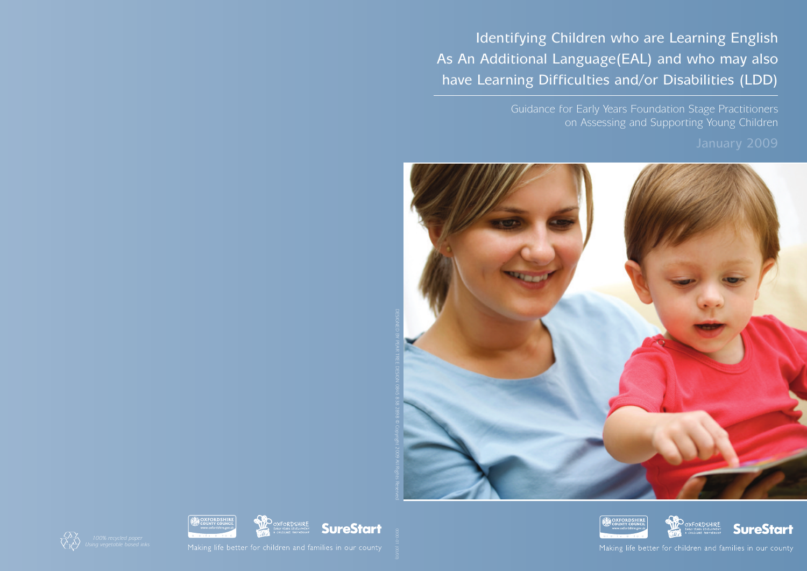As An Additional Language(EAL) and who may also

## Identifying Children who are Learning English have Learning Difficulties and/or Disabilities (LDD)







Making life better for children and families in our county

Guidance for Early Years Foundation Stage Practitioners on Assessing and Supporting Young Children



DESIGNED PEAR<br>R DESIGN 0845 838 2898 2009  $\geq$ Reserved











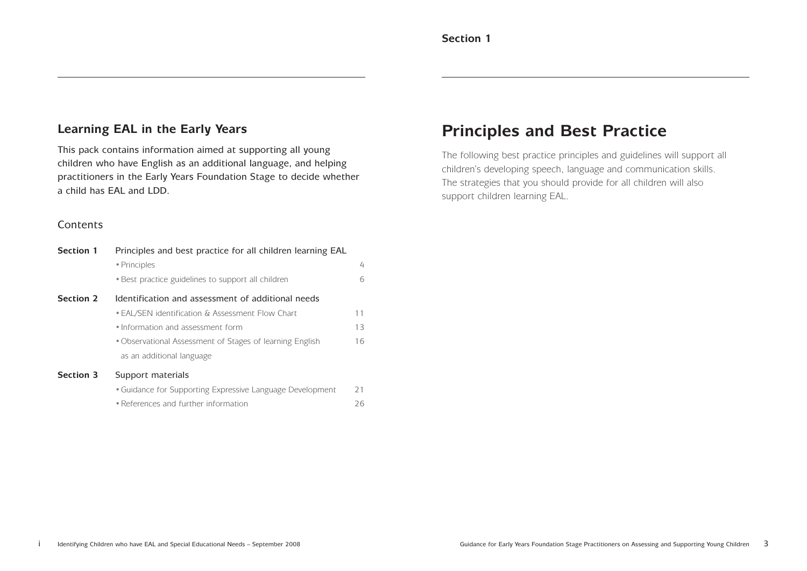### **Learning EAL in the Early Years**

This pack contains information aimed at supporting all young children who have English as an additional language, and helping practitioners in the Early Years Foundation Stage to decide whether a child has EAL and LDD.

### **Contents**

### **Principles and Best Practice**

The following best practice principles and guidelines will support all children's developing speech, language and communication skills. The strategies that you should provide for all children will also support children learning EAL.

| <b>Section 1</b> | Principles and best practice for all children learning EAL |                |  |
|------------------|------------------------------------------------------------|----------------|--|
|                  | • Principles                                               | $\overline{4}$ |  |
|                  | • Best practice guidelines to support all children         | 6              |  |
| <b>Section 2</b> | Identification and assessment of additional needs          |                |  |
|                  | • EAL/SEN identification & Assessment Flow Chart           | 11             |  |
|                  | • Information and assessment form                          | 13             |  |
|                  | • Observational Assessment of Stages of learning English   | 16             |  |
|                  | as an additional language                                  |                |  |
| <b>Section 3</b> | Support materials                                          |                |  |
|                  | • Guidance for Supporting Expressive Language Development  | 21             |  |
|                  | • References and further information                       | 26             |  |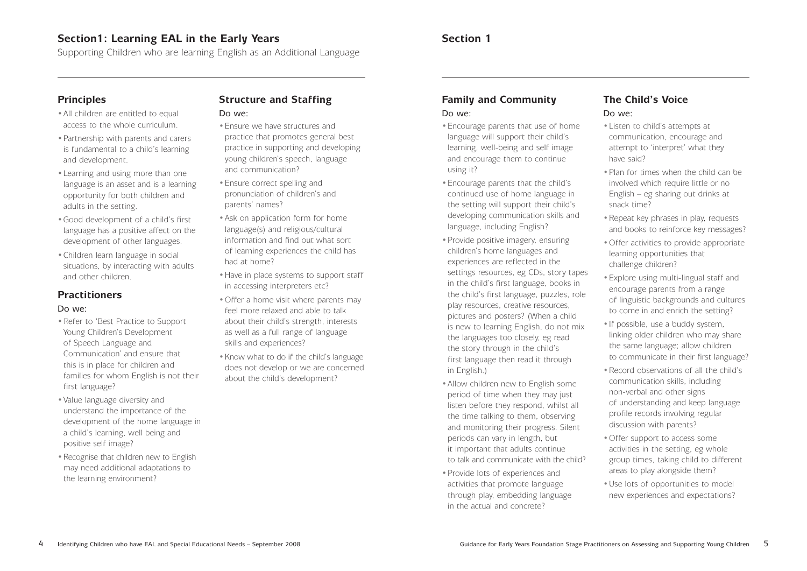### **Section 1**

### **Family and Community** Do we:

### •Encourage parents that use of home language will support their child's learning, well-being and self image and encourage them to continue using it?

- •Encourage parents that the child's continued use of home language in the setting will support their child's developing communication skills and language, including English?
- Provide positive imagery, ensuring children's home languages and experiences are reflected in the settings resources, eg CDs, story tapes in the child's first language, books in the child's first language, puzzles, role play resources, creative resources, pictures and posters? (When a child is new to learning English, do not mix the languages too closely, eg read the story through in the child's first language then read it through in English.)
- Allow children new to English some period of time when they may just listen before they respond, whilst all the time talking to them, observing and monitoring their progress. Silent periods can vary in length, but it important that adults continue to talk and communicate with the child?
- •Provide lots of experiences and activities that promote language through play, embedding language in the actual and concrete?

### **The Child's Voice**

### Do we:

- All children are entitled to equal access to the whole curriculum.
- •Partnership with parents and carers is fundamental to a child's learning and development.
- •Learning and using more than one language is an asset and is a learning opportunity for both children and adults in the setting.
- •Good development of a child's first language has a positive affect on the development of other languages.
- •Children learn language in social situations, by interacting with adults and other children.
- •Listen to child's attempts at communication, encourage and attempt to 'interpret' what they have said?
- Plan for times when the child can be involved which require little or no English – eg sharing out drinks at snack time?
- Repeat key phrases in play, requests and books to reinforce key messages?
- •Offer activities to provide appropriate learning opportunities that challenge children?
- •Explore using multi-lingual staff and encourage parents from a range of linguistic backgrounds and cultures to come in and enrich the setting?
- •If possible, use a buddy system, linking older children who may share the same language; allow children to communicate in their first language?
- •Record observations of all the child's communication skills, including non-verbal and other signs of understanding and keep language profile records involving regular
- discussion with parents?
- Offer support to access some activities in the setting, eg whole group times, taking child to different areas to play alongside them?
- •Use lots of opportunities to model new experiences and expectations?

### **Section1: Learning EAL in the Early Years**

Supporting Children who are learning English as an Additional Language

### **Principles**

### **Practitioners**

### Do we:

- •Refer to 'Best Practice to Support Young Children's Development of Speech Language and Communication' and ensure that this is in place for children and families for whom English is not their first language?
- •Value language diversity and understand the importance of the development of the home language in a child's learning, well being and positive self image?
- Recognise that children new to English may need additional adaptations to the learning environment?

### **Structure and Staffing**

### Do we:

- •Ensure we have structures and practice that promotes general best practice in supporting and developing young children's speech, language and communication?
- •Ensure correct spelling and pronunciation of children's and parents' names?
- •Ask on application form for home language(s) and religious/cultural information and find out what sort of learning experiences the child has had at home?
- Have in place systems to support staff in accessing interpreters etc?
- •Offer a home visit where parents may feel more relaxed and able to talk about their child's strength, interests as well as a full range of language skills and experiences?
- •Know what to do if the child's language does not develop or we are concerned about the child's development?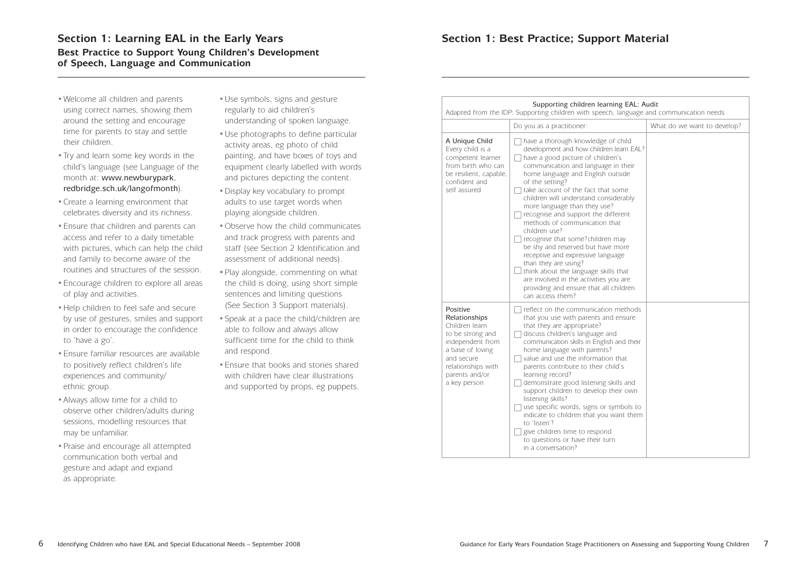### Section 1: Learning EAL in the Early Years **Section 1: Best Practice; Support Material Best Practice to Support Young Children's Development of Speech, Language and Communication**

- •Welcome all children and parents using correct names, showing them around the setting and encourage time for parents to stay and settle their children.
- •Try and learn some key words in the child's language (see Language of the month at: www.newburypark. redbridge.sch.uk/langofmonth).
- •Create a learning environment that celebrates diversity and its richness.
- •Ensure that children and parents can access and refer to a daily timetable with pictures, which can help the child and family to become aware of the routines and structures of the session.
- •Encourage children to explore all areas of play and activities.
- •Help children to feel safe and secure by use of gestures, smiles and support in order to encourage the confidence to 'have a go'.
- •Ensure familiar resources are available to positively reflect children's life experiences and community/ ethnic group.
- •Always allow time for a child to observe other children/adults during sessions, modelling resources that may be unfamiliar.
- •Praise and encourage all attempted communication both verbal and gesture and adapt and expand as appropriate.
- •Use symbols, signs and gesture regularly to aid children's understanding of spoken language.
- •Use photographs to define particular activity areas, eg photo of child painting, and have boxes of toys and equipment clearly labelled with words and pictures depicting the content.
- •Display key vocabulary to prompt adults to use target words when playing alongside children.
- •Observe how the child communicates and track progress with parents and staff (see Section 2 Identification and assessment of additional needs).
- •Play alongside, commenting on what the child is doing, using short simple sentences and limiting questions (See Section 3 Support materials).
- •Speak at a pace the child/children are able to follow and always allow sufficient time for the child to think and respond.
- •Ensure that books and stories shared with children have clear illustrations and supported by props, eg puppets.

| Supporting children learning EAL: Audit<br>Adapted from the IDP: Supporting children with speech, language and communication needs                                            |                                                                                                                                                                                                                                                                                                                                                                                                                                                                                                                                                                                                                                                                                                                 |                             |  |  |
|-------------------------------------------------------------------------------------------------------------------------------------------------------------------------------|-----------------------------------------------------------------------------------------------------------------------------------------------------------------------------------------------------------------------------------------------------------------------------------------------------------------------------------------------------------------------------------------------------------------------------------------------------------------------------------------------------------------------------------------------------------------------------------------------------------------------------------------------------------------------------------------------------------------|-----------------------------|--|--|
|                                                                                                                                                                               | Do you as a practitioner:                                                                                                                                                                                                                                                                                                                                                                                                                                                                                                                                                                                                                                                                                       | What do we want to develop? |  |  |
| A Unique Child<br>Every child is a<br>competent learner<br>from birth who can<br>be resilient, capable,<br>confident and<br>self assured                                      | have a thorough knowledge of child<br>development and how children learn EAL?<br>have a good picture of children's<br>communication and language in their<br>home language and English outside<br>of the setting?<br>take account of the fact that some<br>children will understand considerably<br>more language than they use?<br>recognise and support the different<br>methods of communication that<br>children use?<br>recognise that some?children may<br>be shy and reserved but have more<br>receptive and expressive language<br>than they are using?<br>think about the language skills that<br>are involved in the activities you are<br>providing and ensure that all children<br>can access them? |                             |  |  |
| Positive<br>Relationships<br>Children learn<br>to be strong and<br>independent from<br>a base of loving<br>and secure<br>relationships with<br>parents and/or<br>a key person | reflect on the communication methods<br>that you use with parents and ensure<br>that they are appropriate?<br>discuss children's language and<br>communication skills in English and their<br>home language with parents?<br>value and use the information that<br>parents contribute to their child's<br>learning record?<br>demonstrate good listening skills and<br>support children to develop their own<br>listening skills?<br>use specific words, signs or symbols to<br>indicate to children that you want them<br>to 'listen'?<br>give children time to respond<br>to questions or have their turn<br>in a conversation?                                                                               |                             |  |  |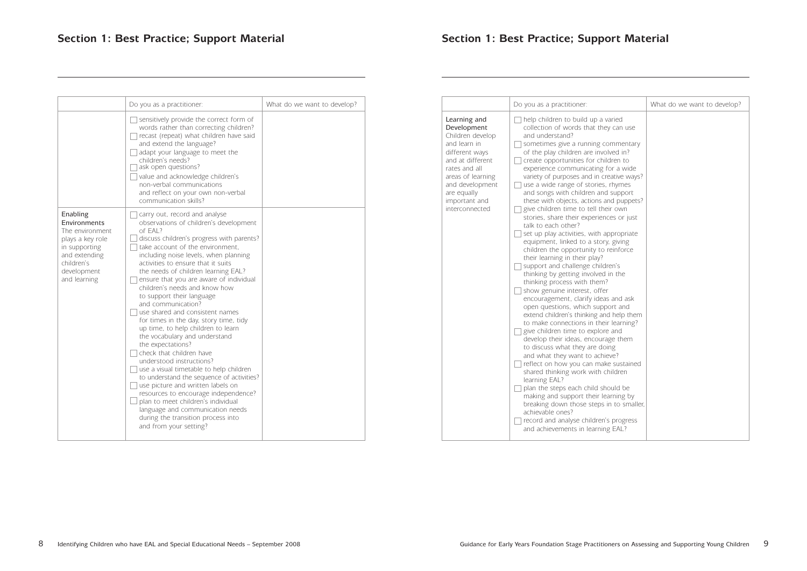|                                                                                                                                                | Do you as a practitioner:                                                                                                                                                                                                                                                                                                                                                                                                                                                                                                                                                                                                                                                                                                                                                                                                                                                                                                                                                | What do we want to develop? |                                                                         |
|------------------------------------------------------------------------------------------------------------------------------------------------|--------------------------------------------------------------------------------------------------------------------------------------------------------------------------------------------------------------------------------------------------------------------------------------------------------------------------------------------------------------------------------------------------------------------------------------------------------------------------------------------------------------------------------------------------------------------------------------------------------------------------------------------------------------------------------------------------------------------------------------------------------------------------------------------------------------------------------------------------------------------------------------------------------------------------------------------------------------------------|-----------------------------|-------------------------------------------------------------------------|
|                                                                                                                                                | sensitively provide the correct form of<br>words rather than correcting children?<br>recast (repeat) what children have said<br>and extend the language?<br>adapt your language to meet the<br>children's needs?<br>ask open questions?<br>value and acknowledge children's<br>non-verbal communications<br>and reflect on your own non-verbal<br>communication skills?                                                                                                                                                                                                                                                                                                                                                                                                                                                                                                                                                                                                  |                             | Le<br>$D\epsilon$<br>Ch<br>an<br>di<br>an<br>ra<br>ar<br>an<br>ar<br>im |
| Enabling<br>Environments<br>The environment<br>plays a key role<br>in supporting<br>and extending<br>children's<br>development<br>and learning | carry out, record and analyse<br>observations of children's development<br>of EAL?<br>discuss children's progress with parents?<br>take account of the environment,<br>including noise levels, when planning<br>activities to ensure that it suits<br>the needs of children learning EAL?<br>ensure that you are aware of individual<br>children's needs and know how<br>to support their language<br>and communication?<br>use shared and consistent names<br>for times in the day, story time, tidy<br>up time, to help children to learn<br>the vocabulary and understand<br>the expectations?<br>check that children have<br>understood instructions?<br>use a visual timetable to help children<br>to understand the sequence of activities?<br>use picture and written labels on<br>resources to encourage independence?<br>plan to meet children's individual<br>language and communication needs<br>during the transition process into<br>and from your setting? |                             | inl                                                                     |

|                                                                                                                                                                                                                  | Do you as a practitioner:                                                                                                                                                                                                                                                                                                                                                                                                                                                                                                                                                                                                                                                                                                                                                                                                                                                                                                                                                                                                                                                                                                                                                                                                                                                                                                                                                                                                                                                                                | What do we want to develop? |
|------------------------------------------------------------------------------------------------------------------------------------------------------------------------------------------------------------------|----------------------------------------------------------------------------------------------------------------------------------------------------------------------------------------------------------------------------------------------------------------------------------------------------------------------------------------------------------------------------------------------------------------------------------------------------------------------------------------------------------------------------------------------------------------------------------------------------------------------------------------------------------------------------------------------------------------------------------------------------------------------------------------------------------------------------------------------------------------------------------------------------------------------------------------------------------------------------------------------------------------------------------------------------------------------------------------------------------------------------------------------------------------------------------------------------------------------------------------------------------------------------------------------------------------------------------------------------------------------------------------------------------------------------------------------------------------------------------------------------------|-----------------------------|
| Learning and<br>Development<br>Children develop<br>and learn in<br>different ways<br>and at different<br>rates and all<br>areas of learning<br>and development<br>are equally<br>important and<br>interconnected | help children to build up a varied<br>collection of words that they can use<br>and understand?<br>sometimes give a running commentary<br>of the play children are involved in?<br>create opportunities for children to<br>experience communicating for a wide<br>variety of purposes and in creative ways?<br>use a wide range of stories, rhymes<br>and songs with children and support<br>these with objects, actions and puppets?<br>give children time to tell their own<br>stories, share their experiences or just<br>talk to each other?<br>set up play activities, with appropriate<br>equipment, linked to a story, giving<br>children the opportunity to reinforce<br>their learning in their play?<br>support and challenge children's<br>thinking by getting involved in the<br>thinking process with them?<br>show genuine interest, offer<br>encouragement, clarify ideas and ask<br>open questions, which support and<br>extend children's thinking and help them<br>to make connections in their learning?<br>give children time to explore and<br>develop their ideas, encourage them<br>to discuss what they are doing<br>and what they want to achieve?<br>reflect on how you can make sustained<br>shared thinking work with children<br>learning EAL?<br>plan the steps each child should be<br>making and support their learning by<br>breaking down those steps in to smaller,<br>achievable ones?<br>record and analyse children's progress<br>and achievements in learning EAL? |                             |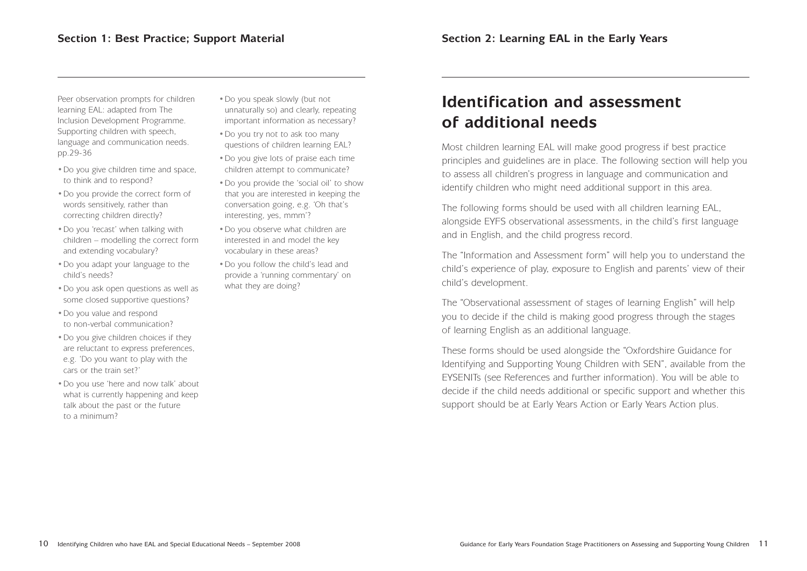Peer observation prompts for children learning EAL: adapted from The Inclusion Development Programme. Supporting children with speech, language and communication needs. pp.29-36

- •Do you give children time and space, to think and to respond?
- •Do you provide the correct form of words sensitively, rather than correcting children directly?
- •Do you 'recast' when talking with children – modelling the correct form and extending vocabulary?
- •Do you adapt your language to the child's needs?
- •Do you ask open questions as well as some closed supportive questions?
- •Do you value and respond to non-verbal communication?
- •Do you give children choices if they are reluctant to express preferences, e.g. 'Do you want to play with the cars or the train set?'
- •Do you use 'here and now talk' about what is currently happening and keep talk about the past or the future to a minimum?
- •Do you speak slowly (but not unnaturally so) and clearly, repeating important information as necessary?
- •Do you try not to ask too many questions of children learning EAL?
- •Do you give lots of praise each time children attempt to communicate?
- •Do you provide the 'social oil' to show that you are interested in keeping the conversation going, e.g. 'Oh that's interesting, yes, mmm'?
- •Do you observe what children are interested in and model the key vocabulary in these areas?
- •Do you follow the child's lead and provide a 'running commentary' on what they are doing?

### **Identification and assessment of additional needs**

Most children learning EAL will make good progress if best practice principles and guidelines are in place. The following section will help you to assess all children's progress in language and communication and identify children who might need additional support in this area.

The following forms should be used with all children learning EAL, alongside EYFS observational assessments, in the child's first language and in English, and the child progress record.

The "Information and Assessment form" will help you to understand the child's experience of play, exposure to English and parents' view of their child's development.

The "Observational assessment of stages of learning English" will help you to decide if the child is making good progress through the stages of learning English as an additional language.

These forms should be used alongside the "Oxfordshire Guidance for Identifying and Supporting Young Children with SEN", available from the EYSENITs (see References and further information). You will be able to decide if the child needs additional or specific support and whether this support should be at Early Years Action or Early Years Action plus.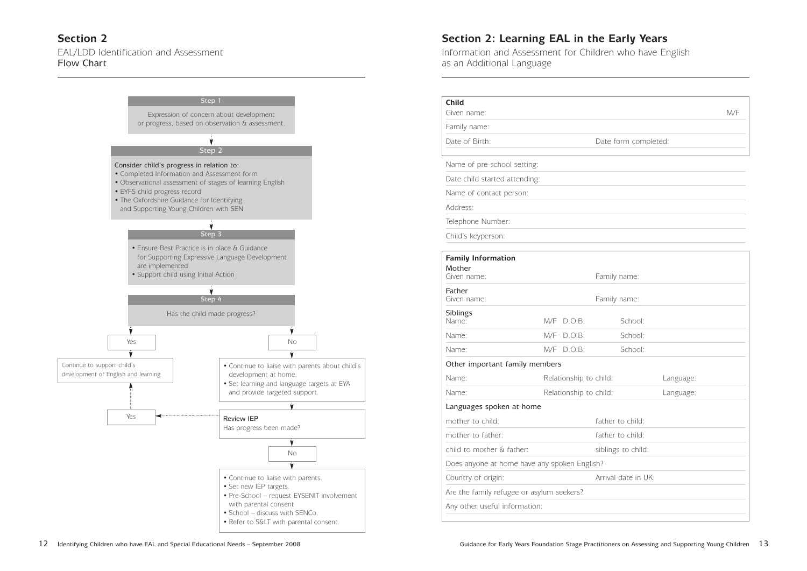### **Section 2: Learning EAL in the Early Years**

Information and Assessment for Children who have English as an Additional Language

### **Section 2** EAL/LDD Identification and Assessment Flow Chart

|                 |           | M/F |
|-----------------|-----------|-----|
| form completed: |           |     |
|                 |           |     |
|                 |           |     |
|                 |           |     |
|                 |           |     |
|                 |           |     |
|                 |           |     |
|                 |           |     |
| ily name:       |           |     |
| ily name:       |           |     |
| School:         |           |     |
| School:         |           |     |
| School:         |           |     |
|                 |           |     |
| l:              | Language: |     |
| l:              | Language: |     |
| er to child:    |           |     |
| er to child:    |           |     |
| ngs to child:   |           |     |
|                 |           |     |
| al date in UK:  |           |     |
|                 |           |     |
|                 |           |     |

| <b>Child</b><br>Given name:                  |     |                        |                      |           | M/F |
|----------------------------------------------|-----|------------------------|----------------------|-----------|-----|
| Family name:                                 |     |                        |                      |           |     |
| Date of Birth:                               |     |                        | Date form completed: |           |     |
|                                              |     |                        |                      |           |     |
| Name of pre-school setting:                  |     |                        |                      |           |     |
| Date child started attending:                |     |                        |                      |           |     |
| Name of contact person:                      |     |                        |                      |           |     |
| Address:                                     |     |                        |                      |           |     |
| Telephone Number:                            |     |                        |                      |           |     |
| Child's keyperson:                           |     |                        |                      |           |     |
|                                              |     |                        |                      |           |     |
| <b>Family Information</b>                    |     |                        |                      |           |     |
| Mother<br>Given name:                        |     |                        | Family name:         |           |     |
|                                              |     |                        |                      |           |     |
| Father<br>Given name:                        |     |                        | Family name:         |           |     |
| Siblings                                     |     |                        |                      |           |     |
| Name:                                        | M/F | $D.O.B$ :              | School:              |           |     |
| Name:                                        | M/F | $D.O.B$ :              | School:              |           |     |
| Name:                                        |     | $M/F$ D.O.B:           | School:              |           |     |
| Other important family members               |     |                        |                      |           |     |
| Name:                                        |     | Relationship to child: |                      | Language: |     |
| Name:                                        |     | Relationship to child: |                      | Language: |     |
| Languages spoken at home                     |     |                        |                      |           |     |
| mother to child:                             |     |                        | father to child:     |           |     |
| mother to father:                            |     |                        | father to child:     |           |     |
| child to mother & father:                    |     |                        | siblings to child:   |           |     |
| Does anyone at home have any spoken English? |     |                        |                      |           |     |
| Country of origin:                           |     |                        | Arrival date in UK:  |           |     |
| Are the family refugee or asylum seekers?    |     |                        |                      |           |     |
| Any other useful information:                |     |                        |                      |           |     |

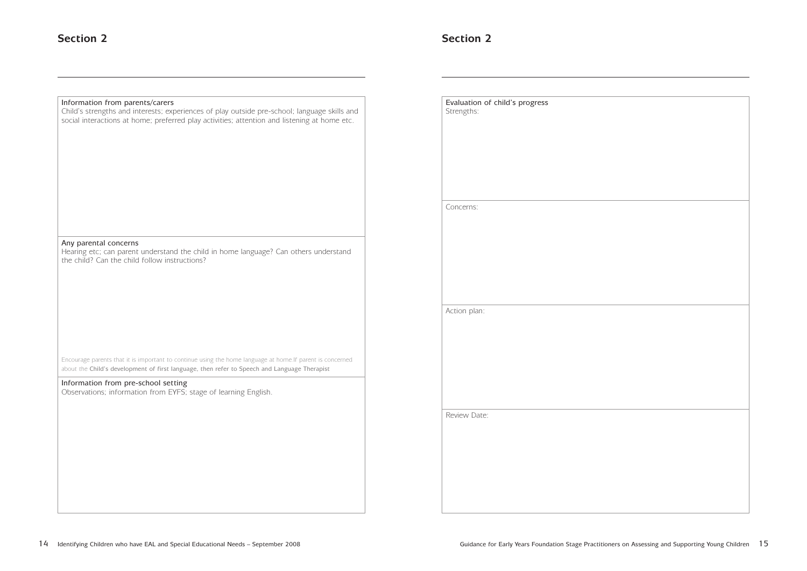

| Information from parents/carers<br>Child's strengths and interests; experiences of play outside pre-school; language skills and<br>social interactions at home; preferred play activities; attention and listening at home etc.                                                                                      | Evaluation of child's progress<br>Strengths: |
|----------------------------------------------------------------------------------------------------------------------------------------------------------------------------------------------------------------------------------------------------------------------------------------------------------------------|----------------------------------------------|
|                                                                                                                                                                                                                                                                                                                      | Concerns:                                    |
| Any parental concerns<br>Hearing etc; can parent understand the child in home language? Can others understand<br>the child? Can the child follow instructions?                                                                                                                                                       |                                              |
|                                                                                                                                                                                                                                                                                                                      | Action plan:                                 |
| Encourage parents that it is important to continue using the home language at home. If parent is concerned<br>about the Child's development of first language, then refer to Speech and Language Therapist<br>Information from pre-school setting<br>Observations; information from EYFS; stage of learning English. |                                              |
|                                                                                                                                                                                                                                                                                                                      | Review Date:                                 |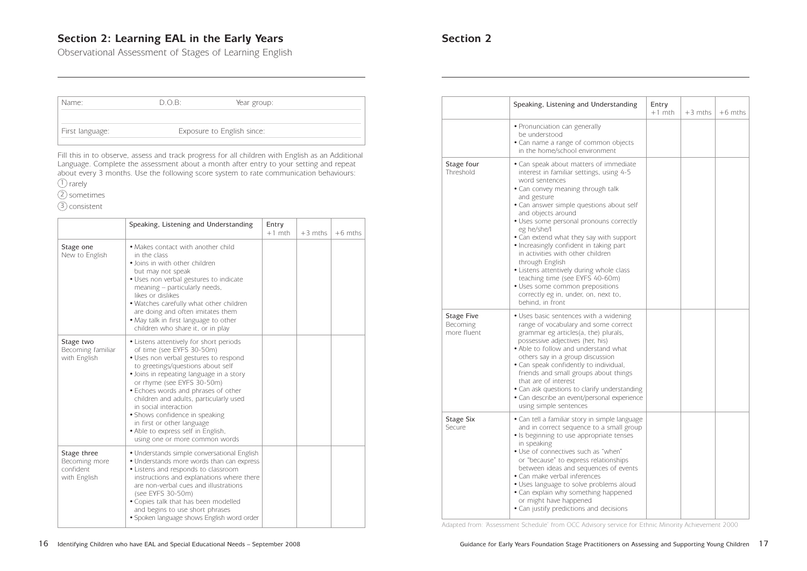### **Section 2: Learning EAL in the Early Years Section 2 Section 2**

Observational Assessment of Stages of Learning English

|                                              | Speaking, Listening and Understanding                                                                                                                                                                                                                                                                                                                                                                                                                                                                                                                                                                            | Entry<br>$+1$ mth | $+3$ mths | $+6$ mths |
|----------------------------------------------|------------------------------------------------------------------------------------------------------------------------------------------------------------------------------------------------------------------------------------------------------------------------------------------------------------------------------------------------------------------------------------------------------------------------------------------------------------------------------------------------------------------------------------------------------------------------------------------------------------------|-------------------|-----------|-----------|
|                                              | • Pronunciation can generally<br>be understood<br>• Can name a range of common objects<br>in the home/school environment                                                                                                                                                                                                                                                                                                                                                                                                                                                                                         |                   |           |           |
| Stage four<br>Threshold                      | • Can speak about matters of immediate<br>interest in familiar settings, using 4-5<br>word sentences<br>· Can convey meaning through talk<br>and gesture<br>• Can answer simple questions about self<br>and objects around<br>· Uses some personal pronouns correctly<br>eg he/she/l<br>• Can extend what they say with support<br>• Increasingly confident in taking part<br>in activities with other children<br>through English<br>• Listens attentively during whole class<br>teaching time (see EYFS 40-60m)<br>· Uses some common prepositions<br>correctly eg in, under, on, next to,<br>behind, in front |                   |           |           |
| <b>Stage Five</b><br>Becoming<br>more fluent | • Uses basic sentences with a widening<br>range of vocabulary and some correct<br>grammar eg articles(a, the) plurals,<br>possessive adjectives (her, his)<br>• Able to follow and understand what<br>others say in a group discussion<br>• Can speak confidently to individual,<br>friends and small groups about things<br>that are of interest<br>• Can ask questions to clarify understanding<br>• Can describe an event/personal experience<br>using simple sentences                                                                                                                                       |                   |           |           |
| <b>Stage Six</b><br>Secure                   | • Can tell a familiar story in simple language<br>and in correct sequence to a small group<br>• Is beginning to use appropriate tenses<br>in speaking<br>• Use of connectives such as "when"<br>or "because" to express relationships<br>between ideas and sequences of events<br>• Can make verbal inferences<br>• Uses language to solve problems aloud<br>• Can explain why something happened<br>or might have happened<br>• Can justify predictions and decisions                                                                                                                                           |                   |           |           |

Adapted from: 'Assessment Schedule' from OCC Advisory service for Ethnic Minority Achievement 2000

| Name:           | D.O.B: | Year group:                |  |
|-----------------|--------|----------------------------|--|
| First language: |        | Exposure to English since: |  |

Fill this in to observe, assess and track progress for all children with English as an Additional Language. Complete the assessment about a month after entry to your setting and repeat about every 3 months. Use the following score system to rate communication behaviours:

1) rarely

sometimes 2

3) consistent

|                                                           | Speaking, Listening and Understanding                                                                                                                                                                                                                                                                                                                                                                                                                                          | Entry<br>$+1$ mth | $+3$ mths | $+6$ mths |
|-----------------------------------------------------------|--------------------------------------------------------------------------------------------------------------------------------------------------------------------------------------------------------------------------------------------------------------------------------------------------------------------------------------------------------------------------------------------------------------------------------------------------------------------------------|-------------------|-----------|-----------|
| Stage one<br>New to English                               | • Makes contact with another child<br>in the class<br>· Joins in with other children<br>but may not speak<br>· Uses non verbal gestures to indicate<br>meaning - particularly needs,<br>likes or dislikes<br>. Watches carefully what other children<br>are doing and often imitates them<br>. May talk in first language to other<br>children who share it, or in play                                                                                                        |                   |           |           |
| Stage two<br>Becoming familiar<br>with English            | • Listens attentively for short periods<br>of time (see EYFS 30-50m)<br>· Uses non verbal gestures to respond<br>to greetings/questions about self<br>· Joins in repeating language in a story<br>or rhyme (see EYFS 30-50m)<br>• Echoes words and phrases of other<br>children and adults, particularly used<br>in social interaction<br>• Shows confidence in speaking<br>in first or other language<br>• Able to express self in English,<br>using one or more common words |                   |           |           |
| Stage three<br>Becoming more<br>confident<br>with English | • Understands simple conversational English<br>• Understands more words than can express<br>• Listens and responds to classroom<br>instructions and explanations where there<br>are non-verbal cues and illustrations<br>(see EYFS 30-50m)<br>· Copies talk that has been modelled<br>and begins to use short phrases<br>· Spoken language shows English word order                                                                                                            |                   |           |           |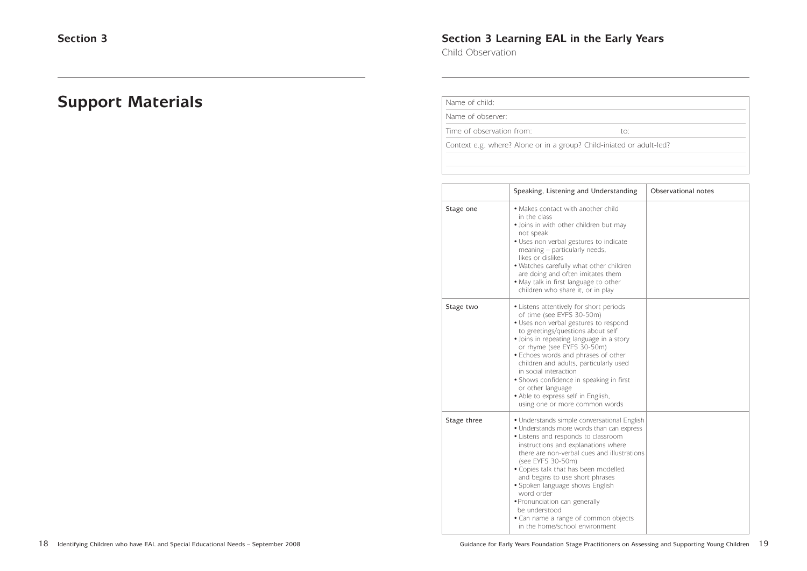### **Section 3 Learning EAL in the Early Years**

Child Observation

### **Support Materials**

| Name of child: |  |  |
|----------------|--|--|
|                |  |  |

Name of observer:

Time of observation from: to: to:

Context e.g. where? Alone or in a group? Child-iniated or adult-led?

|             | Speaking, Listening and Understanding                                                                                                                                                                                                                                                                                                                                                                                                                                                              | Observational notes |
|-------------|----------------------------------------------------------------------------------------------------------------------------------------------------------------------------------------------------------------------------------------------------------------------------------------------------------------------------------------------------------------------------------------------------------------------------------------------------------------------------------------------------|---------------------|
| Stage one   | • Makes contact with another child<br>in the class<br>· Joins in with other children but may<br>not speak<br>• Uses non verbal gestures to indicate<br>meaning – particularly needs,<br>likes or dislikes<br>• Watches carefully what other children<br>are doing and often imitates them<br>• May talk in first language to other<br>children who share it, or in play                                                                                                                            |                     |
| Stage two   | • Listens attentively for short periods<br>of time (see EYFS 30-50m)<br>· Uses non verbal gestures to respond<br>to greetings/questions about self<br>• Joins in repeating language in a story<br>or rhyme (see EYFS 30-50m)<br>• Echoes words and phrases of other<br>children and adults, particularly used<br>in social interaction<br>• Shows confidence in speaking in first<br>or other language<br>• Able to express self in English,<br>using one or more common words                     |                     |
| Stage three | • Understands simple conversational English<br>• Understands more words than can express<br>• Listens and responds to classroom<br>instructions and explanations where<br>there are non-verbal cues and illustrations<br>(see EYFS 30-50m)<br>• Copies talk that has been modelled<br>and begins to use short phrases<br>· Spoken language shows English<br>word order<br>· Pronunciation can generally<br>be understood<br>• Can name a range of common objects<br>in the home/school environment |                     |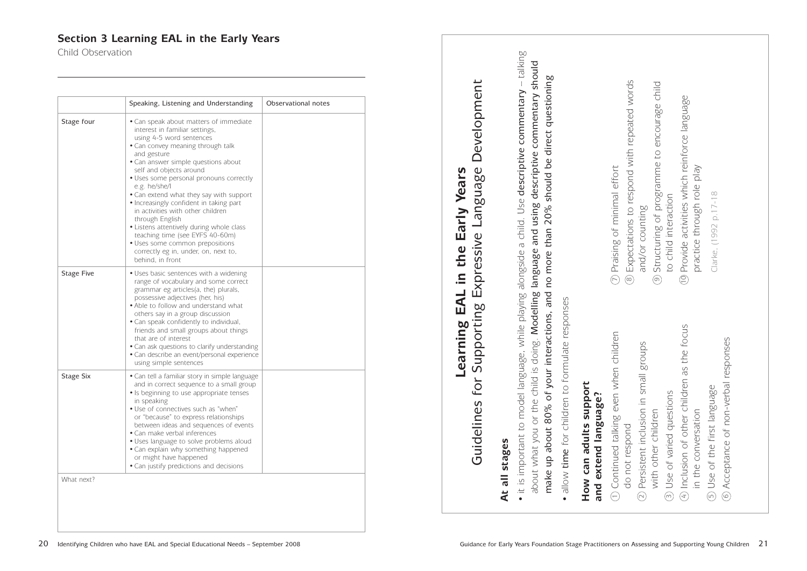### **Section 3 Learning EAL in the Early Years**

Child Observation

20 Identifying Children who have EAL and Special Educational Needs – September 2008

|                   | Speaking, Listening and Understanding                                                                                                                                                                                                                                                                                                                                                                                                                                                                                                                                                                              | Observational notes |
|-------------------|--------------------------------------------------------------------------------------------------------------------------------------------------------------------------------------------------------------------------------------------------------------------------------------------------------------------------------------------------------------------------------------------------------------------------------------------------------------------------------------------------------------------------------------------------------------------------------------------------------------------|---------------------|
| Stage four        | • Can speak about matters of immediate<br>interest in familiar settings,<br>using 4-5 word sentences<br>• Can convey meaning through talk<br>and gesture<br>• Can answer simple questions about<br>self and objects around<br>• Uses some personal pronouns correctly<br>e.g. he/she/l<br>• Can extend what they say with support<br>• Increasingly confident in taking part<br>in activities with other children<br>through English<br>• Listens attentively during whole class<br>teaching time (see EYFS 40-60m)<br>• Uses some common prepositions<br>correctly eg in, under, on, next to,<br>behind, in front |                     |
| <b>Stage Five</b> | • Uses basic sentences with a widening<br>range of vocabulary and some correct<br>grammar eg articles(a, the) plurals,<br>possessive adjectives (her, his)<br>• Able to follow and understand what<br>others say in a group discussion<br>• Can speak confidently to individual,<br>friends and small groups about things<br>that are of interest<br>• Can ask questions to clarify understanding<br>· Can describe an event/personal experience<br>using simple sentences                                                                                                                                         |                     |
| <b>Stage Six</b>  | • Can tell a familiar story in simple language<br>and in correct sequence to a small group<br>• Is beginning to use appropriate tenses<br>in speaking<br>• Use of connectives such as "when"<br>or "because" to express relationships<br>between ideas and sequences of events<br>• Can make verbal inferences<br>• Uses language to solve problems aloud<br>• Can explain why something happened<br>or might have happened<br>• Can justify predictions and decisions                                                                                                                                             |                     |
| What next?        |                                                                                                                                                                                                                                                                                                                                                                                                                                                                                                                                                                                                                    |                     |

# Development Guidelines for Supporting Expressive Language Development Supporting Expressive Language Early Years **Learning EAL in the Early Years** in the EAL Learning Guidelines for

### stages **At all stages**  $\overline{\overline{6}}$  $\overline{\mathbf{A}}$ t

- talking  $\bullet$  it is important to model language, while playing alongside a child. Use **descriptive commentary** – talking about what you or the child is doing. Modelling language and using descriptive commentary should about what you or the child is doing. Modelling language and using descriptive commentary should should be direct questioning make up about 80% of your interactions, and no more than 20% should be direct questioning • it is important to model language, while playing alongside a child. Use descriptive commentary no more than 20% of your interactions, and 80% up about make
- allow time for children to formulate responses allow time for children to formulate responses •

Expectations to respond with repeated words Expectations to respond with repeated words and/or counting and/or counting

Structuring of programme to encourage child<br>to child interaction Structuring of programme to encourage child to child interaction ග

Provide activities which reinforce language Provide activities which reinforce language practice through role play practice through role play  $\circled{2}$ 

Clarke, (1992 p.17-18 Clarke, (1992 p.17-18

**How can adults support**

How can adults support<br>and extend language?

**and extend language?**

| $\odot$ Continued talking even when children<br>do not respond | $\overline{\mathcal{C}}$ |
|----------------------------------------------------------------|--------------------------|
| 2) Persistent inclusion in small groups                        | (ထ                       |
| with other children                                            | ္                        |
| 3) Use of varied questions                                     |                          |
| $\overline{4}$ Inclusion of other children as the focus        |                          |
| in the conversation                                            |                          |
| (5) Use of the first language                                  |                          |
| 6 Acceptance of non-verbal responses                           |                          |
|                                                                |                          |

Praising of minimal effort Praising of minimal effort  $\bigodot$  $\infty$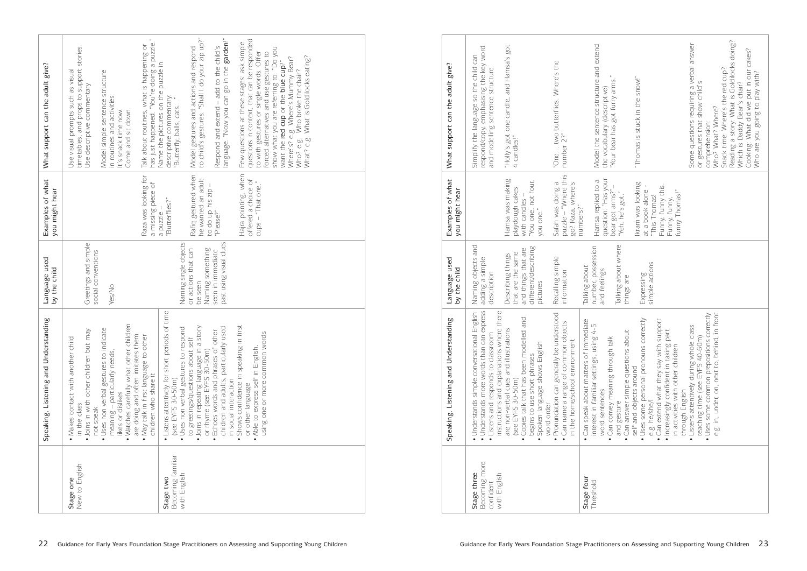|                                                | Speaking, Listening and Understanding                                                                                                                                                                                                                                                                                                                         | Language used<br>by the child                        | Examples of what<br>you might hear                                  | What support can the adult give?                                                                                                                                                                                                                                                                                                                                                |
|------------------------------------------------|---------------------------------------------------------------------------------------------------------------------------------------------------------------------------------------------------------------------------------------------------------------------------------------------------------------------------------------------------------------|------------------------------------------------------|---------------------------------------------------------------------|---------------------------------------------------------------------------------------------------------------------------------------------------------------------------------------------------------------------------------------------------------------------------------------------------------------------------------------------------------------------------------|
| New to English<br>Stage one                    | . Watches carefully what other children<br>· Uses non verbal gestures to indicate<br>· Joins in with other children but may<br>are doing and often imitates them<br>. May talk in first language to other<br>• Makes contact with another child<br>$meaning -$ particularly needs,<br>children who share it<br>likes or dislikes<br>in the class<br>not speak | Greetings and simple<br>social conventions<br>Yes/No | Raza was looking for<br>a missing piece of                          | has just happened. "You're doing a puzzle."<br>Talk about routines, what is happening or<br>timetables, and props to support stories.<br>Use visual prompts such as visual<br>Model simple sentence structure<br>Use descriptive commentary<br>in routines and activities:<br>Come and sit down.<br>It's snack time now.                                                        |
| Becoming familiar<br>with English<br>Stage two | • Listens attentively for short periods of time<br>· Uses non verbal gestures to respond<br>(see EYFS 30-50m)                                                                                                                                                                                                                                                 | Naming single objects                                | "Butterflies?"<br>a puzzle                                          | Name the pictures on the puzzle in<br>i<br>descriptive commentary:<br>,<br>"Butterfly, balls, cats                                                                                                                                                                                                                                                                              |
|                                                | · Joins in repeating language in a story<br>to greetings/questions about self<br>or rhyme (see EYFS 30-50m)                                                                                                                                                                                                                                                   | Naming something<br>or actions that can<br>be seen   | Rafiq gestured when<br>he wanted an adult                           | to child's gestures. "Shall I do your zip up?"<br>Model gestures and actions and respond                                                                                                                                                                                                                                                                                        |
|                                                | children and adults, particularly used<br>· Echoes words and phrases of other<br>in social interaction                                                                                                                                                                                                                                                        | past using visual clues<br>seen in immediate         | to do up his zip<br>"Please?"                                       | language. "Now you can go in the garden!"<br>Respond and extend - add to the child's                                                                                                                                                                                                                                                                                            |
|                                                | first<br>using one or more common words<br>· Shows confidence in speaking in<br>• Able to express self in English,<br>or other language                                                                                                                                                                                                                       |                                                      | Hajra pointing, when<br>offered a choice of<br>$cups - "That one,"$ | questions in context, that can be responded<br>Few questions at these stages: ask simple<br>show what you are referring to. "Do you<br>to with gestures or single words. Offer<br>forced alternatives and use gestures to<br>What? e.g. What is Goldilocks eating?<br>Where's? e.g. Where's Mummy Bear?<br>want the red cup or the blue cup?"<br>Who? e.g. Who broke the chair? |

| What support can the adult give?      | respond/copy, emphasising the key word<br>Simplify the language so the child can<br>and modelling sentence structure                                                         | "Holly's got one candle, and Hamsa's got<br>4 candles!"                                                                                                                                | "One two butterfiles. Where's the<br>number 2?"                                                                       |                                        | Model the sentence structure and extend<br>"Your bear has got furry arms."<br>the vocabulary (descriptive)                                            | "Thomas is stuck in the snow!"                                                                                                                                                                                                    | Reading a story: What is Goldilocks doing?<br>Which is Daddy Bear's chair?<br>Some questions requiring a verbal answer<br>Cooking: What did we put in our cakes?<br>Snack time: Where's the red cup?<br>Who are you going to play with?<br>or gestures that show child's<br>Who? What? Where?<br>comprehension: |
|---------------------------------------|------------------------------------------------------------------------------------------------------------------------------------------------------------------------------|----------------------------------------------------------------------------------------------------------------------------------------------------------------------------------------|-----------------------------------------------------------------------------------------------------------------------|----------------------------------------|-------------------------------------------------------------------------------------------------------------------------------------------------------|-----------------------------------------------------------------------------------------------------------------------------------------------------------------------------------------------------------------------------------|-----------------------------------------------------------------------------------------------------------------------------------------------------------------------------------------------------------------------------------------------------------------------------------------------------------------|
| Examples of what<br>you might hear    |                                                                                                                                                                              | Hamsa was making<br>"You one, not four,<br>you one."<br>playdough cakes<br>with candles -                                                                                              | puzzle - "Where this<br>go? Raza, where's<br>Safah was doing a                                                        | numbers?"                              | question: "Has your<br>Hamsa replied to a<br>bear got arms?"-<br>"Yeh, he's got,"                                                                     | Ikram was looking<br>Funny, funny this.<br>at a book alone<br>funny Thomas!"<br>"This Thomas!<br>Funny, funny,                                                                                                                    |                                                                                                                                                                                                                                                                                                                 |
| Language used<br>by the child         | Naming objects and<br>adding a simple<br>description                                                                                                                         | different/describing<br>and things that are<br>that are the same<br>Describing things<br>pictures                                                                                      | Recalling simple<br>information                                                                                       | Talking about                          | Talking about where<br>number, possession<br>and feelings<br>things are                                                                               | simple actions<br>Expressing                                                                                                                                                                                                      |                                                                                                                                                                                                                                                                                                                 |
| Speaking, Listening and Understanding | · Understands more words than can express<br>instructions and explanations where there<br>· Understands simple conversational English<br>• Listens and responds to classroom | • Copies talk that has been modelled and<br>are non-verbal cues and illustrations<br>· Spoken language shows English<br>begins to use short phrases<br>(see EYFS 30-50m)<br>word order | · Pronunciation can generally be understood<br>· Can name a range of common objects<br>in the home/school environment | · Can speak about matters of immediate | interest in familiar settings, using 4-5<br>· Can answer simple questions about<br>• Can convey meaning through talk<br>word sentences<br>and gesture | . Can extend what they say with support<br>· Uses some personal pronouns correctly<br>· Increasingly confident in taking part<br>in activities with other children<br>self and objects around<br>through English<br>e.g. he/she/I | e.g. in, under, on, next to, behind, in front<br>· Uses some common prepositions correctly<br>· Listens attentively during whole class<br>teaching time (see EYFS 40-60m)                                                                                                                                       |
|                                       | Becoming more<br>Stage three<br>with English<br>confident                                                                                                                    |                                                                                                                                                                                        |                                                                                                                       | Stage four                             | Threshold                                                                                                                                             |                                                                                                                                                                                                                                   |                                                                                                                                                                                                                                                                                                                 |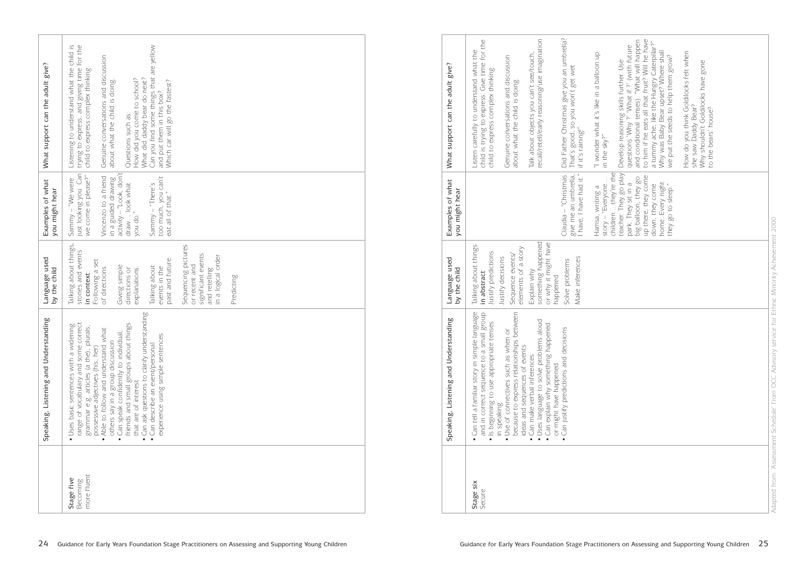| What support can the adult give?      | trying to express, and giving time for the<br>Can you find some things that are yellow<br>Listening to understand what the child is<br>Genuine conversations and discussion<br>child to express complex thinking.<br>What did daddy bear do next?<br>How did you come to school?<br>about what the child is doing.<br>Which car will go the fastest?<br>and put them in this box?<br>Questions such as:                                                                                  |
|---------------------------------------|------------------------------------------------------------------------------------------------------------------------------------------------------------------------------------------------------------------------------------------------------------------------------------------------------------------------------------------------------------------------------------------------------------------------------------------------------------------------------------------|
| Examples of what<br>you might hear    | activity.- "Look, don't<br>just looking you. Can<br>we come in please?"<br>Vincenzo to a friend<br>too much, you can't<br>eat all of that."<br>in a guided drawing<br>Sammy - "We were<br>draw look what<br>$Sannny - "There's$<br>$\ddot{\phantom{0}}$<br>you do.                                                                                                                                                                                                                       |
| Language used<br>by the child         | Talking about things,<br>Sequencing pictures<br>stories and events<br>significant events<br>in a logical order<br>past and future.<br>Following a set<br>or recent and<br>Giving simple<br>Talking about<br>events in the<br>of directions.<br>explanations.<br>directions or<br>and retelling<br>in context:<br>Predicting                                                                                                                                                              |
| Speaking, Listening and Understanding | Can ask questions to clarify understanding<br>range of vocabulary and some correct<br>friends and small groups about things<br>· Uses basic sentences with a widening<br>grammar e.g. articles (a the), plurals,<br>. Able to follow and understand what<br>• Can speak confidently to individual,<br>experience using simple sentences<br>others say in a group discussion<br>• Can describe an event/personal<br>possessive adjectives (his, her)<br>that are of interest<br>$\bullet$ |
|                                       | more fluent<br>Stage five<br>Becoming                                                                                                                                                                                                                                                                                                                                                                                                                                                    |

|                     | Speaking, Listening and Understanding                                                                                                            | Language used<br>by the child                                | Examples of what<br>you might hear                                                                                                                                                | What support can the adult give?                                                                                                                                                                                                                                                                                  |
|---------------------|--------------------------------------------------------------------------------------------------------------------------------------------------|--------------------------------------------------------------|-----------------------------------------------------------------------------------------------------------------------------------------------------------------------------------|-------------------------------------------------------------------------------------------------------------------------------------------------------------------------------------------------------------------------------------------------------------------------------------------------------------------|
| Stage six<br>Secure | · Can tell a familiar story in simple language<br>and in correct sequence to a small group<br>· Is beginning to use appropriate tenses           | Talking about things<br>Justify predictions<br>in abstract:  |                                                                                                                                                                                   | child is trying to express. Give time for the<br>Listen carefully to understand what the<br>child to express complex thinking.                                                                                                                                                                                    |
|                     | because to express relationships between<br>$\overleftarrow{\bigcirc}$<br>• Use of connectives such as when<br>in speaking                       | elements of a story<br>Sequence events/<br>Justify decisions |                                                                                                                                                                                   | Genuine conversations and discussion<br>about what the child is doing.                                                                                                                                                                                                                                            |
|                     | · Uses language to solve problems aloud<br>• Can explain why something happened<br>ideas and sequences of events<br>· Can make verbal inferences | something happened<br>or why it might have<br>Explain why    |                                                                                                                                                                                   | recall/retell/early reasoning/use imagination<br>Talk about objects you can't see/touch,                                                                                                                                                                                                                          |
|                     | . Can justify predictions and decisions<br>or might have happened                                                                                | Make inferences<br>Solve problems<br>happened                | give me an umbrella,<br>I have, I have had it."<br>$Claudia - "Christmas$                                                                                                         | Did Father Christmas give you an umbrella?<br>That's good, so you won't get wet<br>if it's raining!"                                                                                                                                                                                                              |
|                     |                                                                                                                                                  |                                                              | story - "Everyone<br>Hamsa, writing a                                                                                                                                             | "I wonder what it's like in a balloon up<br>in the sky?"                                                                                                                                                                                                                                                          |
|                     |                                                                                                                                                  |                                                              | children they're the<br>teacher. They go play<br>up there, they come<br>big balloon, they go<br>home. Every night<br>park. They sit in a<br>down, they come<br>they go to sleep." | to him if he eats all that fruit? Will he have<br>and conditional tenses). "What will happen<br>a tummy ache, like the Hungry Caterpillar?"<br>questions 'Why ?' 'What if.?' (with future<br>Why was Baby Bear upset? Where shall<br>we put the seeds to help them grow?<br>Develop reasoning skills further. Use |
|                     |                                                                                                                                                  |                                                              |                                                                                                                                                                                   | How do you think Goldilocks felt when<br>Why shouldn't Goldilocks have gone<br>she saw Daddy Bear?<br>to the bears' house?                                                                                                                                                                                        |
|                     |                                                                                                                                                  |                                                              |                                                                                                                                                                                   |                                                                                                                                                                                                                                                                                                                   |